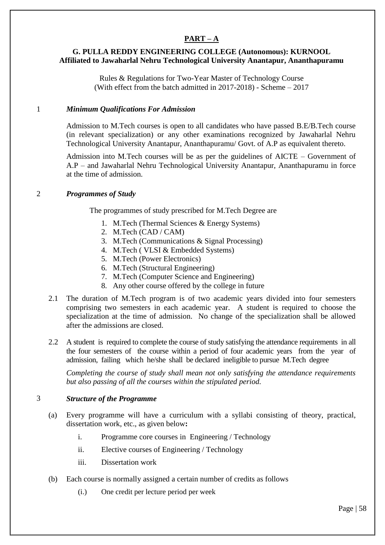# **PART – A**

# **G. PULLA REDDY ENGINEERING COLLEGE (Autonomous): KURNOOL Affiliated to Jawaharlal Nehru Technological University Anantapur, Ananthapuramu**

Rules & Regulations for Two-Year Master of Technology Course (With effect from the batch admitted in 2017-2018) - Scheme – 2017

## 1 *Minimum Qualifications For Admission*

Admission to M.Tech courses is open to all candidates who have passed B.E/B.Tech course (in relevant specialization) or any other examinations recognized by Jawaharlal Nehru Technological University Anantapur, Ananthapuramu/ Govt. of A.P as equivalent thereto.

Admission into M.Tech courses will be as per the guidelines of AICTE – Government of A.P – and Jawaharlal Nehru Technological University Anantapur, Ananthapuramu in force at the time of admission.

## 2 *Programmes of Study*

The programmes of study prescribed for M.Tech Degree are

- 1. M.Tech (Thermal Sciences & Energy Systems)
- 2. M.Tech (CAD / CAM)
- 3. M.Tech (Communications & Signal Processing)
- 4. M.Tech ( VLSI & Embedded Systems)
- 5. M.Tech (Power Electronics)
- 6. M.Tech (Structural Engineering)
- 7. M.Tech (Computer Science and Engineering)
- 8. Any other course offered by the college in future
- 2.1 The duration of M.Tech program is of two academic years divided into four semesters comprising two semesters in each academic year. A student is required to choose the specialization at the time of admission. No change of the specialization shall be allowed after the admissions are closed.
- 2.2 A student is required to complete the course of study satisfying the attendance requirements in all the four semesters of the course within a period of four academic years from the year of admission, failing which he/she shall be declared ineligible to pursue M.Tech degree

*Completing the course of study shall mean not only satisfying the attendance requirements but also passing of all the courses within the stipulated period.*

## 3 *Structure of the Programme*

- (a) Every programme will have a curriculum with a syllabi consisting of theory, practical, dissertation work, etc., as given below**:** 
	- i. Programme core courses in Engineering / Technology
	- ii. Elective courses of Engineering / Technology
	- iii. Dissertation work
- (b) Each course is normally assigned a certain number of credits as follows
	- (i.) One credit per lecture period per week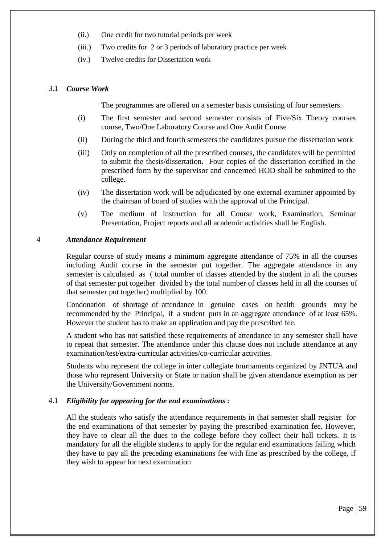- (ii.) One credit for two tutorial periods per week
- (iii.) Two credits for 2 or 3 periods of laboratory practice per week
- (iv.) Twelve credits for Dissertation work

#### 3.1 *Course Work*

The programmes are offered on a semester basis consisting of four semesters.

- (i) The first semester and second semester consists of Five/Six Theory courses course, Two/One Laboratory Course and One Audit Course
- (ii) During the third and fourth semesters the candidates pursue the dissertation work
- (iii) Only on completion of all the prescribed courses, the candidates will be permitted to submit the thesis/dissertation. Four copies of the dissertation certified in the prescribed form by the supervisor and concerned HOD shall be submitted to the college.
- (iv) The dissertation work will be adjudicated by one external examiner appointed by the chairman of board of studies with the approval of the Principal.
- (v) The medium of instruction for all Course work, Examination, Seminar Presentation, Project reports and all academic activities shall be English.

#### 4 *Attendance Requirement*

Regular course of study means a minimum aggregate attendance of 75% in all the courses including Audit course in the semester put together. The aggregate attendance in any semester is calculated as ( total number of classes attended by the student in all the courses of that semester put together divided by the total number of classes held in all the courses of that semester put together) multiplied by 100.

Condonation of shortage of attendance in genuine cases on health grounds may be recommended by the Principal, if a student puts in an aggregate attendance of at least 65%. However the student has to make an application and pay the prescribed fee.

A student who has not satisfied these requirements of attendance in any semester shall have to repeat that semester. The attendance under this clause does not include attendance at any examination/test/extra-curricular activities/co-curricular activities.

Students who represent the college in inter collegiate tournaments organized by JNTUA and those who represent University or State or nation shall be given attendance exemption as per the University/Government norms.

## 4.1 *Eligibility for appearing for the end examinations :*

All the students who satisfy the attendance requirements in that semester shall register for the end examinations of that semester by paying the prescribed examination fee. However, they have to clear all the dues to the college before they collect their hall tickets. It is mandatory for all the eligible students to apply for the regular end examinations failing which they have to pay all the preceding examinations fee with fine as prescribed by the college, if they wish to appear for next examination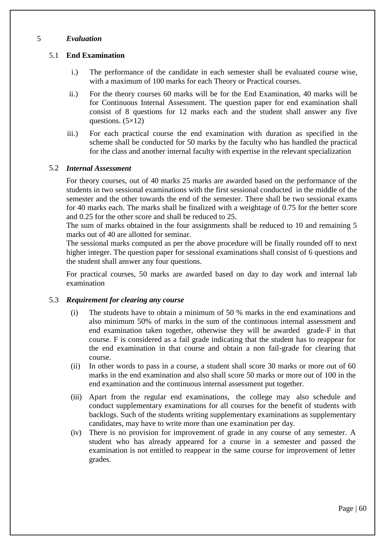## 5 *Evaluation*

## 5.1 **End Examination**

- i.) The performance of the candidate in each semester shall be evaluated course wise, with a maximum of 100 marks for each Theory or Practical courses.
- ii.) For the theory courses 60 marks will be for the End Examination, 40 marks will be for Continuous Internal Assessment. The question paper for end examination shall consist of 8 questions for 12 marks each and the student shall answer any five questions.  $(5\times12)$
- iii.) For each practical course the end examination with duration as specified in the scheme shall be conducted for 50 marks by the faculty who has handled the practical for the class and another internal faculty with expertise in the relevant specialization

## 5.2 *Internal Assessment*

For theory courses, out of 40 marks 25 marks are awarded based on the performance of the students in two sessional examinations with the first sessional conducted in the middle of the semester and the other towards the end of the semester. There shall be two sessional exams for 40 marks each. The marks shall be finalized with a weightage of 0.75 for the better score and 0.25 for the other score and shall be reduced to 25.

The sum of marks obtained in the four assignments shall be reduced to 10 and remaining 5 marks out of 40 are allotted for seminar.

The sessional marks computed as per the above procedure will be finally rounded off to next higher integer. The question paper for sessional examinations shall consist of 6 questions and the student shall answer any four questions.

For practical courses, 50 marks are awarded based on day to day work and internal lab examination

## 5.3 *Requirement for clearing any course*

- (i) The students have to obtain a minimum of 50 % marks in the end examinations and also minimum 50% of marks in the sum of the continuous internal assessment and end examination taken together, otherwise they will be awarded grade-F in that course. F is considered as a fail grade indicating that the student has to reappear for the end examination in that course and obtain a non fail-grade for clearing that course.
- (ii) In other words to pass in a course, a student shall score 30 marks or more out of 60 marks in the end examination and also shall score 50 marks or more out of 100 in the end examination and the continuous internal assessment put together.
- (iii) Apart from the regular end examinations, the college may also schedule and conduct supplementary examinations for all courses for the benefit of students with backlogs. Such of the students writing supplementary examinations as supplementary candidates, may have to write more than one examination per day.
- (iv) There is no provision for improvement of grade in any course of any semester. A student who has already appeared for a course in a semester and passed the examination is not entitled to reappear in the same course for improvement of letter grades.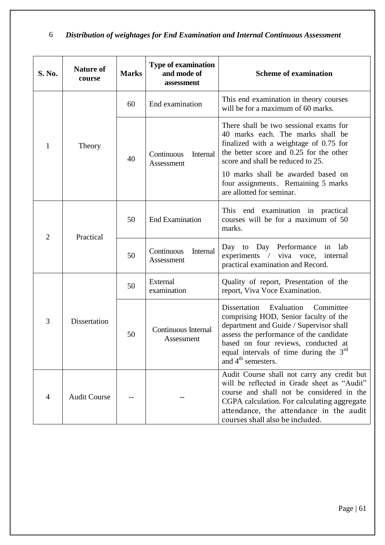# 6 *Distribution of weightages for End Examination and Internal Continuous Assessment*

| <b>S. No.</b>  | <b>Nature of</b><br>course | <b>Marks</b> | <b>Type of examination</b><br>and mode of<br>assessment | <b>Scheme of examination</b>                                                                                                                                                                                                                                                                                    |
|----------------|----------------------------|--------------|---------------------------------------------------------|-----------------------------------------------------------------------------------------------------------------------------------------------------------------------------------------------------------------------------------------------------------------------------------------------------------------|
| 1              | Theory                     | 60           | End examination                                         | This end examination in theory courses<br>will be for a maximum of 60 marks.                                                                                                                                                                                                                                    |
|                |                            | 40           | Continuous<br>Internal<br>Assessment                    | There shall be two sessional exams for<br>40 marks each. The marks shall be<br>finalized with a weightage of 0.75 for<br>the better score and 0.25 for the other<br>score and shall be reduced to 25.<br>10 marks shall be awarded based on<br>four assignments. Remaining 5 marks<br>are allotted for seminar. |
| $\overline{2}$ | Practical                  | 50           | <b>End Examination</b>                                  | examination in practical<br>This end<br>courses will be for a maximum of 50<br>marks.                                                                                                                                                                                                                           |
|                |                            | 50           | Continuous<br>Internal<br>Assessment                    | Day to Day Performance in lab<br>experiments / viva voce, internal<br>practical examination and Record.                                                                                                                                                                                                         |
| 3              | <b>Dissertation</b>        | 50           | External<br>examination                                 | Quality of report, Presentation of the<br>report, Viva Voce Examination.                                                                                                                                                                                                                                        |
|                |                            | 50           | Continuous Internal<br>Assessment                       | Dissertation<br>Evaluation<br>Committee<br>comprising HOD, Senior faculty of the<br>department and Guide / Supervisor shall<br>assess the performance of the candidate<br>based on four reviews, conducted at<br>equal intervals of time during the $3rd$<br>and $4^{\text{th}}$ semesters.                     |
| 4              | <b>Audit Course</b>        |              |                                                         | Audit Course shall not carry any credit but<br>will be reflected in Grade sheet as "Audit"<br>course and shall not be considered in the<br>CGPA calculation. For calculating aggregate<br>attendance, the attendance in the audit<br>courses shall also be included.                                            |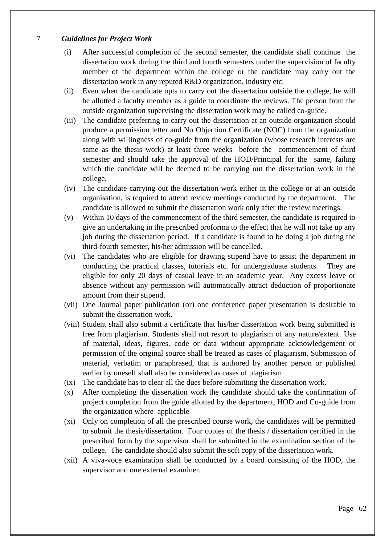## 7 *Guidelines for Project Work*

- (i) After successful completion of the second semester, the candidate shall continue the dissertation work during the third and fourth semesters under the supervision of faculty member of the department within the college or the candidate may carry out the dissertation work in any reputed R&D organization, industry etc.
- (ii) Even when the candidate opts to carry out the dissertation outside the college, he will be allotted a faculty member as a guide to coordinate the reviews. The person from the outside organization supervising the dissertation work may be called co-guide.
- (iii) The candidate preferring to carry out the dissertation at an outside organization should produce a permission letter and No Objection Certificate (NOC) from the organization along with willingness of co-guide from the organization (whose research interests are same as the thesis work) at least three weeks before the commencement of third semester and should take the approval of the HOD/Principal for the same, failing which the candidate will be deemed to be carrying out the dissertation work in the college.
- (iv) The candidate carrying out the dissertation work either in the college or at an outside organisation, is required to attend review meetings conducted by the department. The candidate is allowed to submit the dissertation work only after the review meetings.
- (v) Within 10 days of the commencement of the third semester, the candidate is required to give an undertaking in the prescribed proforma to the effect that he will not take up any job during the dissertation period. If a candidate is found to be doing a job during the third-fourth semester, his/her admission will be cancelled.
- (vi) The candidates who are eligible for drawing stipend have to assist the department in conducting the practical classes, tutorials etc. for undergraduate students. They are eligible for only 20 days of casual leave in an academic year. Any excess leave or absence without any permission will automatically attract deduction of proportionate amount from their stipend.
- (vii) One Journal paper publication (or) one conference paper presentation is desirable to submit the dissertation work.
- (viii) Student shall also submit a certificate that his/her dissertation work being submitted is free from plagiarism. Students shall not resort to plagiarism of any nature/extent. Use of material, ideas, figures, code or data without appropriate acknowledgement or permission of the original source shall be treated as cases of plagiarism. Submission of material, verbatim or paraphrased, that is authored by another person or published earlier by oneself shall also be considered as cases of plagiarism
- (ix) The candidate has to clear all the dues before submitting the dissertation work.
- (x) After completing the dissertation work the candidate should take the confirmation of project completion from the guide allotted by the department, HOD and Co-guide from the organization where applicable
- (xi) Only on completion of all the prescribed course work, the candidates will be permitted to submit the thesis/dissertation. Four copies of the thesis / dissertation certified in the prescribed form by the supervisor shall be submitted in the examination section of the college. The candidate should also submit the soft copy of the dissertation work.
- (xii) A viva-voce examination shall be conducted by a board consisting of the HOD, the supervisor and one external examiner.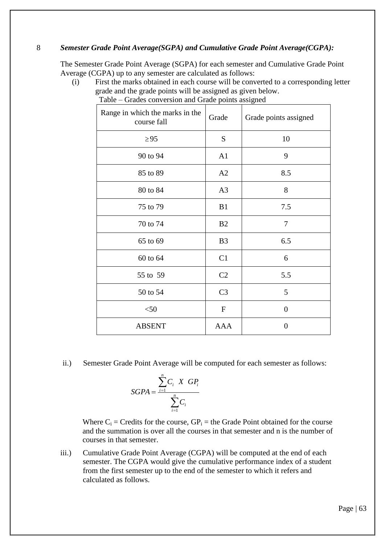## 8 *Semester Grade Point Average(SGPA) and Cumulative Grade Point Average(CGPA):*

The Semester Grade Point Average (SGPA) for each semester and Cumulative Grade Point Average (CGPA) up to any semester are calculated as follows:

(i) First the marks obtained in each course will be converted to a corresponding letter grade and the grade points will be assigned as given below.

| Range in which the marks in the<br>course fall | Grade            | Grade points assigned |
|------------------------------------------------|------------------|-----------------------|
| $\geq$ 95                                      | S                | 10                    |
| 90 to 94                                       | A1               | 9                     |
| 85 to 89                                       | A2               | 8.5                   |
| 80 to 84                                       | A <sub>3</sub>   | 8                     |
| 75 to 79                                       | B1               | 7.5                   |
| 70 to 74                                       | B <sub>2</sub>   | $\overline{7}$        |
| 65 to 69                                       | B <sub>3</sub>   | 6.5                   |
| 60 to 64                                       | C1               | 6                     |
| 55 to 59                                       | C <sub>2</sub>   | 5.5                   |
| 50 to 54                                       | C <sub>3</sub>   | 5                     |
| < 50                                           | $\boldsymbol{F}$ | $\overline{0}$        |
| <b>ABSENT</b>                                  | <b>AAA</b>       | $\overline{0}$        |

Table – Grades conversion and Grade points assigned

ii.) Semester Grade Point Average will be computed for each semester as follows:

$$
SGPA = \frac{\sum_{i=1}^{n} C_i \times GP_i}{\sum_{i=1}^{n} C_i}
$$

Where  $C_i$  = Credits for the course,  $GP_i$  = the Grade Point obtained for the course and the summation is over all the courses in that semester and n is the number of courses in that semester.

iii.) Cumulative Grade Point Average (CGPA) will be computed at the end of each semester. The CGPA would give the cumulative performance index of a student from the first semester up to the end of the semester to which it refers and calculated as follows.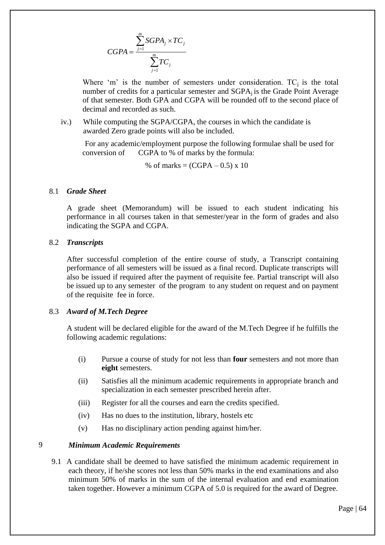$$
CGPA = \frac{\sum_{j=1}^{m} SGPA_j \times TC_j}{\sum_{j=1}^{m} TC_j}
$$

Where 'm' is the number of semesters under consideration.  $TC_i$  is the total number of credits for a particular semester and  $SGPA<sub>i</sub>$  is the Grade Point Average of that semester. Both GPA and CGPA will be rounded off to the second place of decimal and recorded as such.

iv.) While computing the SGPA/CGPA, the courses in which the candidate is awarded Zero grade points will also be included.

 For any academic/employment purpose the following formulae shall be used for conversion of CGPA to % of marks by the formula:

% of marks =  $(CGPA - 0.5) \times 10$ 

#### 8.1 *Grade Sheet*

A grade sheet (Memorandum) will be issued to each student indicating his performance in all courses taken in that semester/year in the form of grades and also indicating the SGPA and CGPA.

#### 8.2 *Transcripts*

After successful completion of the entire course of study, a Transcript containing performance of all semesters will be issued as a final record. Duplicate transcripts will also be issued if required after the payment of requisite fee. Partial transcript will also be issued up to any semester of the program to any student on request and on payment of the requisite fee in force.

## 8.3 *Award of M.Tech Degree*

A student will be declared eligible for the award of the M.Tech Degree if he fulfills the following academic regulations:

- (i) Pursue a course of study for not less than **four** semesters and not more than **eight** semesters.
- (ii) Satisfies all the minimum academic requirements in appropriate branch and specialization in each semester prescribed herein after.
- (iii) Register for all the courses and earn the credits specified.
- (iv) Has no dues to the institution, library, hostels etc
- (v) Has no disciplinary action pending against him/her.

## 9 *Minimum Academic Requirements*

9.1 A candidate shall be deemed to have satisfied the minimum academic requirement in each theory, if he/she scores not less than 50% marks in the end examinations and also minimum 50% of marks in the sum of the internal evaluation and end examination taken together. However a minimum CGPA of 5.0 is required for the award of Degree.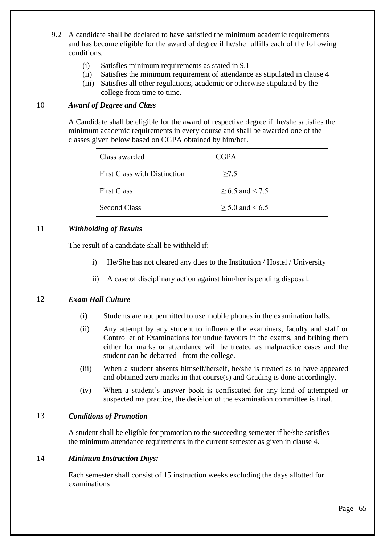- 9.2 A candidate shall be declared to have satisfied the minimum academic requirements and has become eligible for the award of degree if he/she fulfills each of the following conditions.
	- (i) Satisfies minimum requirements as stated in 9.1
	- (ii) Satisfies the minimum requirement of attendance as stipulated in clause 4
	- (iii) Satisfies all other regulations, academic or otherwise stipulated by the college from time to time.

## 10 *Award of Degree and Class*

A Candidate shall be eligible for the award of respective degree if he/she satisfies the minimum academic requirements in every course and shall be awarded one of the classes given below based on CGPA obtained by him/her.

| Class awarded                       | <b>CGPA</b>          |
|-------------------------------------|----------------------|
| <b>First Class with Distinction</b> | >7.5                 |
| <b>First Class</b>                  | $\geq 6.5$ and < 7.5 |
| <b>Second Class</b>                 | $\geq 5.0$ and < 6.5 |

# 11 *Withholding of Results*

The result of a candidate shall be withheld if:

- i) He/She has not cleared any dues to the Institution / Hostel / University
- ii) A case of disciplinary action against him/her is pending disposal.

## 12 *Exam Hall Culture*

- (i) Students are not permitted to use mobile phones in the examination halls.
- (ii) Any attempt by any student to influence the examiners, faculty and staff or Controller of Examinations for undue favours in the exams, and bribing them either for marks or attendance will be treated as malpractice cases and the student can be debarred from the college.
- (iii) When a student absents himself/herself, he/she is treated as to have appeared and obtained zero marks in that course(s) and Grading is done accordingly.
- (iv) When a student"s answer book is confiscated for any kind of attempted or suspected malpractice, the decision of the examination committee is final.

## 13 *Conditions of Promotion*

A student shall be eligible for promotion to the succeeding semester if he/she satisfies the minimum attendance requirements in the current semester as given in clause 4.

## 14 *Minimum Instruction Days:*

Each semester shall consist of 15 instruction weeks excluding the days allotted for examinations